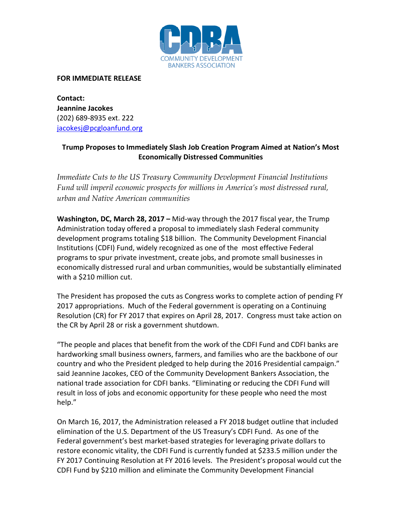

## **FOR IMMEDIATE RELEASE**

**Contact: Jeannine Jacokes** (202) 689-8935 ext. 222 [jacokesj@pcgloanfund.org](mailto:jacokesj@pcgloanfund.org)

## **Trump Proposes to Immediately Slash Job Creation Program Aimed at Nation's Most Economically Distressed Communities**

*Immediate Cuts to the US Treasury Community Development Financial Institutions Fund will imperil economic prospects for millions in America's most distressed rural, urban and Native American communities* 

**Washington, DC, March 28, 2017 –** Mid-way through the 2017 fiscal year, the Trump Administration today offered a proposal to immediately slash Federal community development programs totaling \$18 billion. The Community Development Financial Institutions (CDFI) Fund, widely recognized as one of the most effective Federal programs to spur private investment, create jobs, and promote small businesses in economically distressed rural and urban communities, would be substantially eliminated with a \$210 million cut.

The President has proposed the cuts as Congress works to complete action of pending FY 2017 appropriations. Much of the Federal government is operating on a Continuing Resolution (CR) for FY 2017 that expires on April 28, 2017. Congress must take action on the CR by April 28 or risk a government shutdown.

"The people and places that benefit from the work of the CDFI Fund and CDFI banks are hardworking small business owners, farmers, and families who are the backbone of our country and who the President pledged to help during the 2016 Presidential campaign." said Jeannine Jacokes, CEO of the Community Development Bankers Association, the national trade association for CDFI banks. "Eliminating or reducing the CDFI Fund will result in loss of jobs and economic opportunity for these people who need the most help."

On March 16, 2017, the Administration released a FY 2018 budget outline that included elimination of the U.S. Department of the US Treasury's CDFI Fund. As one of the Federal government's best market-based strategies for leveraging private dollars to restore economic vitality, the CDFI Fund is currently funded at \$233.5 million under the FY 2017 Continuing Resolution at FY 2016 levels. The President's proposal would cut the CDFI Fund by \$210 million and eliminate the Community Development Financial